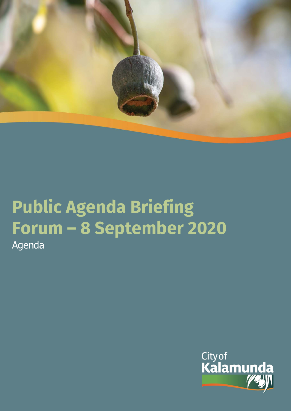

# **Public Agenda Briefing Forum – 8 September 2020** Agenda

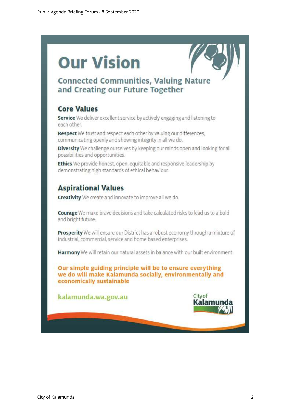# **Our Vision**



# **Connected Communities, Valuing Nature** and Creating our Future Together

# **Core Values**

Service We deliver excellent service by actively engaging and listening to each other.

Respect We trust and respect each other by valuing our differences, communicating openly and showing integrity in all we do.

Diversity We challenge ourselves by keeping our minds open and looking for all possibilities and opportunities.

Ethics We provide honest, open, equitable and responsive leadership by demonstrating high standards of ethical behaviour.

# **Aspirational Values**

**Creativity** We create and innovate to improve all we do.

Courage We make brave decisions and take calculated risks to lead us to a bold and bright future.

Prosperity We will ensure our District has a robust economy through a mixture of industrial, commercial, service and home based enterprises.

Harmony We will retain our natural assets in balance with our built environment.

Our simple guiding principle will be to ensure everything we do will make Kalamunda socially, environmentally and economically sustainable

kalamunda.wa.gov.au

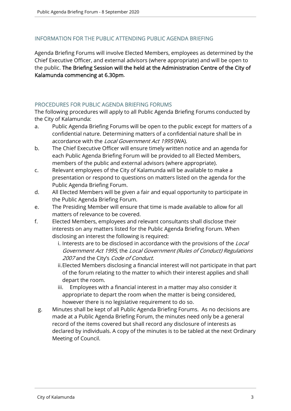# INFORMATION FOR THE PUBLIC ATTENDING PUBLIC AGENDA BRIEFING

Agenda Briefing Forums will involve Elected Members, employees as determined by the Chief Executive Officer, and external advisors (where appropriate) and will be open to the public. The Briefing Session will the held at the Administration Centre of the City of Kalamunda commencing at 6.30pm.

#### PROCEDURES FOR PUBLIC AGENDA BRIEFING FORUMS

The following procedures will apply to all Public Agenda Briefing Forums conducted by the City of Kalamunda:

- a. Public Agenda Briefing Forums will be open to the public except for matters of a confidential nature. Determining matters of a confidential nature shall be in accordance with the Local Government Act 1995 (WA).
- b. The Chief Executive Officer will ensure timely written notice and an agenda for each Public Agenda Briefing Forum will be provided to all Elected Members, members of the public and external advisors (where appropriate).
- c. Relevant employees of the City of Kalamunda will be available to make a presentation or respond to questions on matters listed on the agenda for the Public Agenda Briefing Forum.
- d. All Elected Members will be given a fair and equal opportunity to participate in the Public Agenda Briefing Forum.
- e. The Presiding Member will ensure that time is made available to allow for all matters of relevance to be covered.
- f. Elected Members, employees and relevant consultants shall disclose their interests on any matters listed for the Public Agenda Briefing Forum. When disclosing an interest the following is required:
	- i. Interests are to be disclosed in accordance with the provisions of the Local Government Act 1995, the Local Government (Rules of Conduct) Regulations 2007 and the City's Code of Conduct.
	- ii.Elected Members disclosing a financial interest will not participate in that part of the forum relating to the matter to which their interest applies and shall depart the room.
	- iii. Employees with a financial interest in a matter may also consider it appropriate to depart the room when the matter is being considered, however there is no legislative requirement to do so.
	- g. Minutes shall be kept of all Public Agenda Briefing Forums. As no decisions are made at a Public Agenda Briefing Forum, the minutes need only be a general record of the items covered but shall record any disclosure of interests as declared by individuals. A copy of the minutes is to be tabled at the next Ordinary Meeting of Council.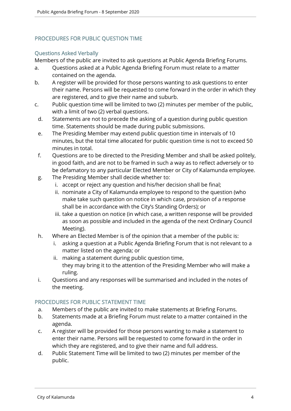# PROCEDURES FOR PUBLIC QUESTION TIME

### Questions Asked Verbally

Members of the public are invited to ask questions at Public Agenda Briefing Forums.

- a. Questions asked at a Public Agenda Briefing Forum must relate to a matter contained on the agenda.
- b. A register will be provided for those persons wanting to ask questions to enter their name. Persons will be requested to come forward in the order in which they are registered, and to give their name and suburb.
- c. Public question time will be limited to two (2) minutes per member of the public, with a limit of two (2) verbal questions.
	- d. Statements are not to precede the asking of a question during public question time. Statements should be made during public submissions.
	- e. The Presiding Member may extend public question time in intervals of 10 minutes, but the total time allocated for public question time is not to exceed 50 minutes in total.
	- f. Questions are to be directed to the Presiding Member and shall be asked politely, in good faith, and are not to be framed in such a way as to reflect adversely or to be defamatory to any particular Elected Member or City of Kalamunda employee.
	- g. The Presiding Member shall decide whether to:
		- i. accept or reject any question and his/her decision shall be final;
		- ii. nominate a City of Kalamunda employee to respond to the question (who make take such question on notice in which case, provision of a response shall be in accordance with the City's Standing Orders); or
		- iii. take a question on notice (in which case, a written response will be provided as soon as possible and included in the agenda of the next Ordinary Council Meeting).
	- h. Where an Elected Member is of the opinion that a member of the public is:
		- i. asking a question at a Public Agenda Briefing Forum that is not relevant to a matter listed on the agenda; or
		- ii. making a statement during public question time, they may bring it to the attention of the Presiding Member who will make a ruling.
	- i. Questions and any responses will be summarised and included in the notes of the meeting.

# PROCEDURES FOR PUBLIC STATEMENT TIME

- a. Members of the public are invited to make statements at Briefing Forums.
- b. Statements made at a Briefing Forum must relate to a matter contained in the agenda.
- c. A register will be provided for those persons wanting to make a statement to enter their name. Persons will be requested to come forward in the order in which they are registered, and to give their name and full address.
- d. Public Statement Time will be limited to two (2) minutes per member of the public.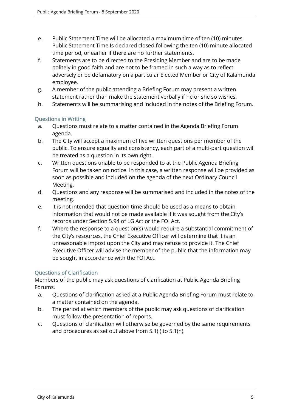- e. Public Statement Time will be allocated a maximum time of ten (10) minutes. Public Statement Time Is declared closed following the ten (10) minute allocated time period, or earlier if there are no further statements.
- f. Statements are to be directed to the Presiding Member and are to be made politely in good faith and are not to be framed in such a way as to reflect adversely or be defamatory on a particular Elected Member or City of Kalamunda employee.
- g. A member of the public attending a Briefing Forum may present a written statement rather than make the statement verbally if he or she so wishes.
- h. Statements will be summarising and included in the notes of the Briefing Forum.

### Questions in Writing

- a. Questions must relate to a matter contained in the Agenda Briefing Forum agenda.
- b. The City will accept a maximum of five written questions per member of the public. To ensure equality and consistency, each part of a multi-part question will be treated as a question in its own right.
- c. Written questions unable to be responded to at the Public Agenda Briefing Forum will be taken on notice. In this case, a written response will be provided as soon as possible and included on the agenda of the next Ordinary Council Meeting.
- d. Questions and any response will be summarised and included in the notes of the meeting.
- e. It is not intended that question time should be used as a means to obtain information that would not be made available if it was sought from the City's records under Section 5.94 of LG Act or the FOI Act.
- f. Where the response to a question(s) would require a substantial commitment of the City's resources, the Chief Executive Officer will determine that it is an unreasonable impost upon the City and may refuse to provide it. The Chief Executive Officer will advise the member of the public that the information may be sought in accordance with the FOI Act.

# Questions of Clarification

Members of the public may ask questions of clarification at Public Agenda Briefing Forums.

- a. Questions of clarification asked at a Public Agenda Briefing Forum must relate to a matter contained on the agenda.
- b. The period at which members of the public may ask questions of clarification must follow the presentation of reports.
- c. Questions of clarification will otherwise be governed by the same requirements and procedures as set out above from 5.1(i) to 5.1(n).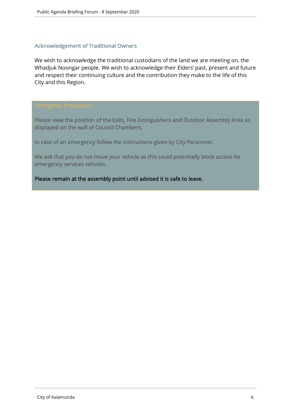#### Acknowledgement of Traditional Owners

We wish to acknowledge the traditional custodians of the land we are meeting on, the Whadjuk Noongar people. We wish to acknowledge their Elders' past, present and future and respect their continuing culture and the contribution they make to the life of this City and this Region.

Please view the position of the Exits, Fire Extinguishers and Outdoor Assembly Area as displayed on the wall of Council Chambers.

In case of an emergency follow the instructions given by City Personnel.

We ask that you do not move your vehicle as this could potentially block access for emergency services vehicles.

Please remain at the assembly point until advised it is safe to leave.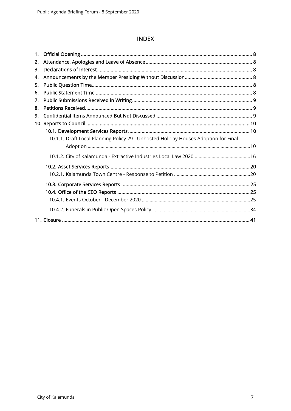# **INDEX**

| 1. |                                                                                     |  |
|----|-------------------------------------------------------------------------------------|--|
| 2. |                                                                                     |  |
| 3. |                                                                                     |  |
| 4. |                                                                                     |  |
| 5. |                                                                                     |  |
| 6. |                                                                                     |  |
| 7. |                                                                                     |  |
| 8. |                                                                                     |  |
| 9. |                                                                                     |  |
|    |                                                                                     |  |
|    |                                                                                     |  |
|    | 10.1.1. Draft Local Planning Policy 29 - Unhosted Holiday Houses Adoption for Final |  |
|    |                                                                                     |  |
|    |                                                                                     |  |
|    |                                                                                     |  |
|    |                                                                                     |  |
|    |                                                                                     |  |
|    |                                                                                     |  |
|    |                                                                                     |  |
|    |                                                                                     |  |
|    |                                                                                     |  |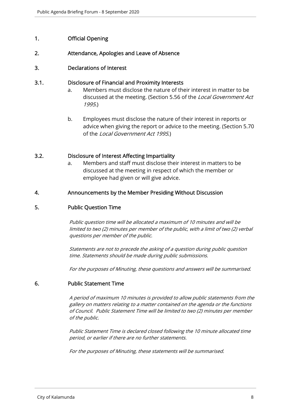# 1. Official Opening

#### 2. Attendance, Apologies and Leave of Absence

#### 3. Declarations of Interest

#### 3.1. Disclosure of Financial and Proximity Interests

- a. Members must disclose the nature of their interest in matter to be discussed at the meeting. (Section 5.56 of the *Local Government Act* 1995.)
- b. Employees must disclose the nature of their interest in reports or advice when giving the report or advice to the meeting. (Section 5.70 of the Local Government Act 1995.)

#### 3.2. Disclosure of Interest Affecting Impartiality

a. Members and staff must disclose their interest in matters to be discussed at the meeting in respect of which the member or employee had given or will give advice.

#### 4. Announcements by the Member Presiding Without Discussion

#### 5. Public Question Time

Public question time will be allocated a maximum of 10 minutes and will be limited to two (2) minutes per member of the public, with a limit of two (2) verbal questions per member of the public.

Statements are not to precede the asking of a question during public question time. Statements should be made during public submissions.

For the purposes of Minuting, these questions and answers will be summarised.

#### 6. Public Statement Time

A period of maximum 10 minutes is provided to allow public statements from the gallery on matters relating to a matter contained on the agenda or the functions of Council. Public Statement Time will be limited to two (2) minutes per member of the public.

Public Statement Time is declared closed following the 10 minute allocated time period, or earlier if there are no further statements.

For the purposes of Minuting, these statements will be summarised.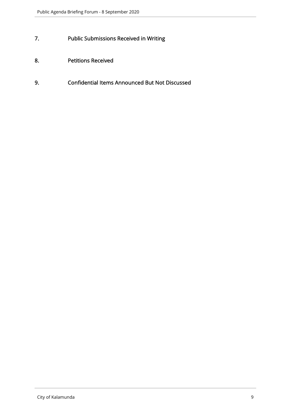- 7. Public Submissions Received in Writing
- 8. Petitions Received
- 9. Confidential Items Announced But Not Discussed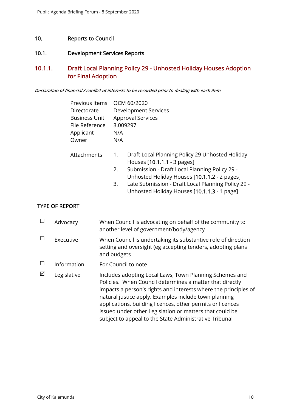### 10. Reports to Council

#### 10.1. Development Services Reports

# 10.1.1. Draft Local Planning Policy 29 - Unhosted Holiday Houses Adoption for Final Adoption

#### Declaration of financial / conflict of interests to be recorded prior to dealing with each item.

| Previous Items OCM 60/2020 |                          |
|----------------------------|--------------------------|
| Directorate                | Development Services     |
| <b>Business Unit</b>       | <b>Approval Services</b> |
| File Reference             | 3.009297                 |
| Applicant                  | N/A                      |
| Owner                      | N/A                      |

- Attachments 1. Draft Local Planning Policy 29 Unhosted Holiday Houses [10.1.1.1 - 3 pages]
	- 2. Submission Draft Local Planning Policy 29 Unhosted Holiday Houses [10.1.1.2 - 2 pages]
	- 3. Late Submission Draft Local Planning Policy 29 Unhosted Holiday Houses [10.1.1.3 - 1 page]

#### TYPE OF REPORT

|   | Advocacy    | When Council is advocating on behalf of the community to<br>another level of government/body/agency                                                                                                                                                                                                                                                                                                                                |
|---|-------------|------------------------------------------------------------------------------------------------------------------------------------------------------------------------------------------------------------------------------------------------------------------------------------------------------------------------------------------------------------------------------------------------------------------------------------|
|   | Executive   | When Council is undertaking its substantive role of direction<br>setting and oversight (eg accepting tenders, adopting plans<br>and budgets                                                                                                                                                                                                                                                                                        |
|   | Information | For Council to note                                                                                                                                                                                                                                                                                                                                                                                                                |
| ⊠ | Legislative | Includes adopting Local Laws, Town Planning Schemes and<br>Policies. When Council determines a matter that directly<br>impacts a person's rights and interests where the principles of<br>natural justice apply. Examples include town planning<br>applications, building licences, other permits or licences<br>issued under other Legislation or matters that could be<br>subject to appeal to the State Administrative Tribunal |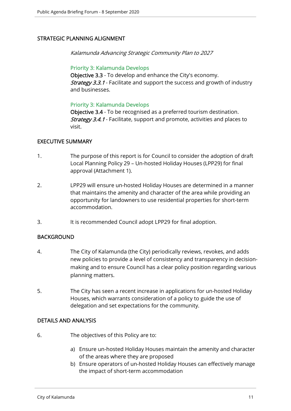# STRATEGIC PLANNING ALIGNMENT

Kalamunda Advancing Strategic Community Plan to 2027

#### Priority 3: Kalamunda Develops

Objective 3.3 - To develop and enhance the City's economy. **Strategy 3.3.1** - Facilitate and support the success and growth of industry and businesses.

#### Priority 3: Kalamunda Develops

Objective 3.4 - To be recognised as a preferred tourism destination. Strategy 3.4.1 - Facilitate, support and promote, activities and places to visit.

#### EXECUTIVE SUMMARY

- 1. The purpose of this report is for Council to consider the adoption of draft Local Planning Policy 29 – Un-hosted Holiday Houses (LPP29) for final approval (Attachment 1).
- 2. LPP29 will ensure un-hosted Holiday Houses are determined in a manner that maintains the amenity and character of the area while providing an opportunity for landowners to use residential properties for short-term accommodation.
- 3. It is recommended Council adopt LPP29 for final adoption.

#### BACKGROUND

- 4. The City of Kalamunda (the City) periodically reviews, revokes, and adds new policies to provide a level of consistency and transparency in decisionmaking and to ensure Council has a clear policy position regarding various planning matters.
- 5. The City has seen a recent increase in applications for un-hosted Holiday Houses, which warrants consideration of a policy to guide the use of delegation and set expectations for the community.

#### DETAILS AND ANALYSIS

- 6. The objectives of this Policy are to:
	- a) Ensure un-hosted Holiday Houses maintain the amenity and character of the areas where they are proposed
	- b) Ensure operators of un-hosted Holiday Houses can effectively manage the impact of short-term accommodation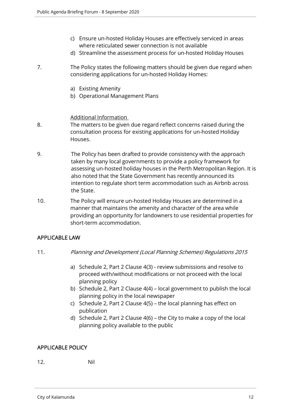- c) Ensure un-hosted Holiday Houses are effectively serviced in areas where reticulated sewer connection is not available
- d) Streamline the assessment process for un-hosted Holiday Houses
- 7. The Policy states the following matters should be given due regard when considering applications for un-hosted Holiday Homes:
	- a) Existing Amenity
	- b) Operational Management Plans

#### Additional Information

- 8. The matters to be given due regard reflect concerns raised during the consultation process for existing applications for un-hosted Holiday Houses.
- 9. The Policy has been drafted to provide consistency with the approach taken by many local governments to provide a policy framework for assessing un-hosted holiday houses in the Perth Metropolitan Region. It is also noted that the State Government has recently announced its intention to regulate short term accommodation such as Airbnb across the State.
- 10. The Policy will ensure un-hosted Holiday Houses are determined in a manner that maintains the amenity and character of the area while providing an opportunity for landowners to use residential properties for short-term accommodation.

#### APPLICABLE LAW

- 11. Planning and Development (Local Planning Schemes) Regulations 2015
	- a) Schedule 2, Part 2 Clause 4(3) review submissions and resolve to proceed with/without modifications or not proceed with the local planning policy
	- b) Schedule 2, Part 2 Clause 4(4) local government to publish the local planning policy in the local newspaper
	- c) Schedule 2, Part 2 Clause 4(5) the local planning has effect on publication
	- d) Schedule 2, Part 2 Clause 4(6) the City to make a copy of the local planning policy available to the public

#### APPLICABLE POLICY

#### 12. Nil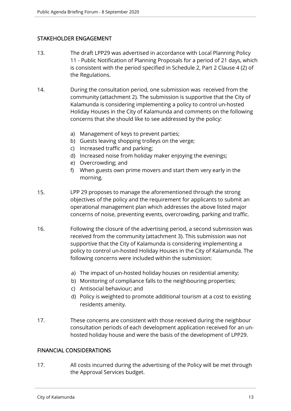# STAKEHOLDER ENGAGEMENT

- 13. The draft LPP29 was advertised in accordance with Local Planning Policy 11 - Public Notification of Planning Proposals for a period of 21 days, which is consistent with the period specified in Schedule 2, Part 2 Clause 4 (2) of the Regulations.
- 14. During the consultation period, one submission was received from the community (attachment 2). The submission is supportive that the City of Kalamunda is considering implementing a policy to control un-hosted Holiday Houses in the City of Kalamunda and comments on the following concerns that she should like to see addressed by the policy:
	- a) Management of keys to prevent parties;
	- b) Guests leaving shopping trolleys on the verge;
	- c) Increased traffic and parking;
	- d) Increased noise from holiday maker enjoying the evenings;
	- e) Overcrowding; and
	- f) When guests own prime movers and start them very early in the morning.
- 15. LPP 29 proposes to manage the aforementioned through the strong objectives of the policy and the requirement for applicants to submit an operational management plan which addresses the above listed major concerns of noise, preventing events, overcrowding, parking and traffic.
- 16. Following the closure of the advertising period, a second submission was received from the community (attachment 3). This submission was not supportive that the City of Kalamunda is considering implementing a policy to control un-hosted Holiday Houses in the City of Kalamunda. The following concerns were included within the submission:
	- a) The impact of un-hosted holiday houses on residential amenity;
	- b) Monitoring of compliance falls to the neighbouring properties;
	- c) Antisocial behaviour; and
	- d) Policy is weighted to promote additional tourism at a cost to existing residents amenity.
- 17. These concerns are consistent with those received during the neighbour consultation periods of each development application received for an unhosted holiday house and were the basis of the development of LPP29.

#### FINANCIAL CONSIDERATIONS

17. All costs incurred during the advertising of the Policy will be met through the Approval Services budget.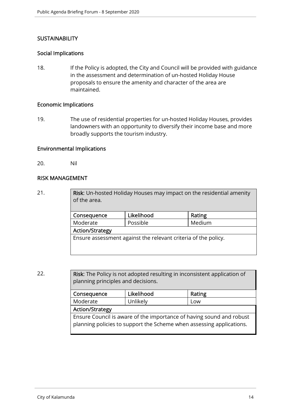# **SUSTAINABILITY**

#### Social Implications

18. If the Policy is adopted, the City and Council will be provided with guidance in the assessment and determination of un-hosted Holiday House proposals to ensure the amenity and character of the area are maintained.

#### Economic Implications

19. The use of residential properties for un-hosted Holiday Houses, provides landowners with an opportunity to diversify their income base and more broadly supports the tourism industry.

#### Environmental Implications

20. Nil

#### RISK MANAGEMENT

21. **Risk:** Un-hosted Holiday Houses may impact on the residential amenity of the area.

| Consequence                                                    | Likelihood | Rating |  |  |
|----------------------------------------------------------------|------------|--------|--|--|
| Moderate                                                       | Possible   | Medium |  |  |
| <b>Action/Strategy</b>                                         |            |        |  |  |
| Ensure assessment against the relevant criteria of the policy. |            |        |  |  |

22. **Risk:** The Policy is not adopted resulting in inconsistent application of planning principles and decisions.

| Consequence                                                          | Likelihood | Rating |  |  |  |
|----------------------------------------------------------------------|------------|--------|--|--|--|
| Moderate<br>Unlikely<br>Low                                          |            |        |  |  |  |
| <b>Action/Strategy</b>                                               |            |        |  |  |  |
| Ensure Council is aware of the importance of having sound and robust |            |        |  |  |  |
| planning policies to support the Scheme when assessing applications. |            |        |  |  |  |
|                                                                      |            |        |  |  |  |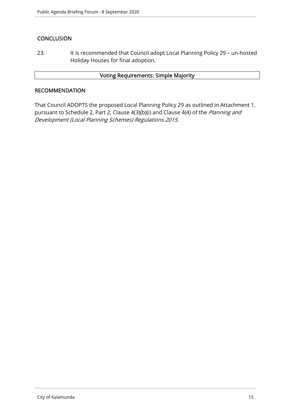# **CONCLUSION**

23. It is recommended that Council adopt Local Planning Policy 29 – un-hosted Holiday Houses for final adoption.

#### Voting Requirements: Simple Majority

#### **RECOMMENDATION**

That Council ADOPTS the proposed Local Planning Policy 29 as outlined in Attachment 1, pursuant to Schedule 2, Part 2, Clause 4(3)(b)(i) and Clause 4(4) of the Planning and Development (Local Planning Schemes) Regulations 2015.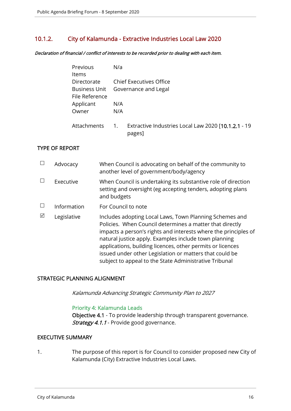# 10.1.2. City of Kalamunda - Extractive Industries Local Law 2020

Declaration of financial / conflict of interests to be recorded prior to dealing with each item.

| Previous             | N/a |                                                               |
|----------------------|-----|---------------------------------------------------------------|
| <b>Items</b>         |     |                                                               |
| Directorate          |     | <b>Chief Executives Office</b>                                |
| <b>Business Unit</b> |     | Governance and Legal                                          |
| File Reference       |     |                                                               |
| Applicant            | N/A |                                                               |
| Owner                | N/A |                                                               |
| Attachments          | 1.  | Extractive Industries Local Law 2020 [10.1.2.1 - 19<br>pages] |

#### TYPE OF REPORT

|   | Advocacy    | When Council is advocating on behalf of the community to<br>another level of government/body/agency                                                                                                                                                                                                                                                                                                                                |
|---|-------------|------------------------------------------------------------------------------------------------------------------------------------------------------------------------------------------------------------------------------------------------------------------------------------------------------------------------------------------------------------------------------------------------------------------------------------|
|   | Executive   | When Council is undertaking its substantive role of direction<br>setting and oversight (eg accepting tenders, adopting plans<br>and budgets                                                                                                                                                                                                                                                                                        |
|   | Information | For Council to note                                                                                                                                                                                                                                                                                                                                                                                                                |
| ⊠ | Legislative | Includes adopting Local Laws, Town Planning Schemes and<br>Policies. When Council determines a matter that directly<br>impacts a person's rights and interests where the principles of<br>natural justice apply. Examples include town planning<br>applications, building licences, other permits or licences<br>issued under other Legislation or matters that could be<br>subject to appeal to the State Administrative Tribunal |

#### STRATEGIC PLANNING ALIGNMENT

Kalamunda Advancing Strategic Community Plan to 2027

#### Priority 4: Kalamunda Leads

Objective 4.1 - To provide leadership through transparent governance. Strategy 4.1.1 - Provide good governance.

#### EXECUTIVE SUMMARY

1. The purpose of this report is for Council to consider proposed new City of Kalamunda (City) Extractive Industries Local Laws.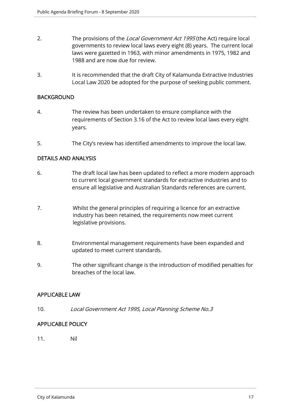- 2. The provisions of the Local Government Act 1995 (the Act) require local governments to review local laws every eight (8) years. The current local laws were gazetted in 1963, with minor amendments in 1975, 1982 and 1988 and are now due for review.
- 3. It is recommended that the draft City of Kalamunda Extractive Industries Local Law 2020 be adopted for the purpose of seeking public comment.

#### **BACKGROUND**

- 4. The review has been undertaken to ensure compliance with the requirements of Section 3.16 of the Act to review local laws every eight years.
- 5. The City's review has identified amendments to improve the local law.

#### DETAILS AND ANALYSIS

- 6. The draft local law has been updated to reflect a more modern approach to current local government standards for extractive industries and to ensure all legislative and Australian Standards references are current.
- 7. Whilst the general principles of requiring a licence for an extractive industry has been retained, the requirements now meet current legislative provisions.
- 8. Environmental management requirements have been expanded and updated to meet current standards.
- 9. The other significant change is the introduction of modified penalties for breaches of the local law.

#### APPLICABLE LAW

10. Local Government Act 1995, Local Planning Scheme No.3

# APPLICABLE POLICY

11. Nil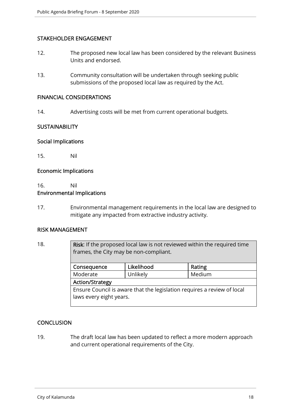#### STAKEHOLDER ENGAGEMENT

- 12. The proposed new local law has been considered by the relevant Business Units and endorsed.
- 13. Community consultation will be undertaken through seeking public submissions of the proposed local law as required by the Act.

#### FINANCIAL CONSIDERATIONS

14. Advertising costs will be met from current operational budgets.

#### **SUSTAINABILITY**

#### Social Implications

15. Nil

#### Economic Implications

# 16. Nil Environmental Implications

17. Environmental management requirements in the local law are designed to mitigate any impacted from extractive industry activity.

#### RISK MANAGEMENT

18. **Risk:** If the proposed local law is not reviewed within the required time frames, the City may be non-compliant. Consequence Likelihood Rating Moderate | Unlikely | Medium Action/Strategy Ensure Council is aware that the legislation requires a review of local laws every eight years.

#### **CONCLUSION**

19. The draft local law has been updated to reflect a more modern approach and current operational requirements of the City.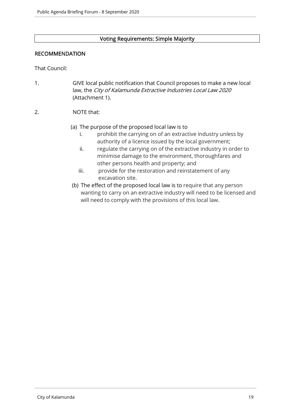#### Voting Requirements: Simple Majority

#### RECOMMENDATION

That Council:

1. GIVE local public notification that Council proposes to make a new local law, the City of Kalamunda Extractive Industries Local Law 2020 (Attachment 1).

#### 2. NOTE that:

### (a) The purpose of the proposed local law is to

- i. prohibit the carrying on of an extractive industry unless by authority of a licence issued by the local government;
- ii. regulate the carrying on of the extractive industry in order to minimise damage to the environment, thoroughfares and other persons health and property; and
- iii. provide for the restoration and reinstatement of any excavation site.
- (b) The effect of the proposed local law is to require that any person wanting to carry on an extractive industry will need to be licensed and will need to comply with the provisions of this local law.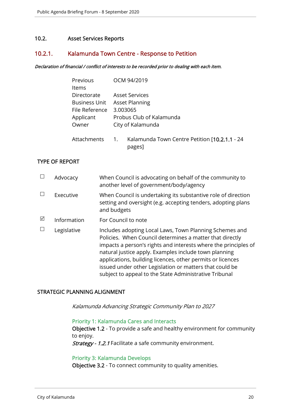#### 10.2. Asset Services Reports

#### 10.2.1. Kalamunda Town Centre - Response to Petition

#### Declaration of financial / conflict of interests to be recorded prior to dealing with each item.

| Previous             | OCM 94/2019                                         |
|----------------------|-----------------------------------------------------|
| <b>Items</b>         |                                                     |
| Directorate          | <b>Asset Services</b>                               |
| <b>Business Unit</b> | <b>Asset Planning</b>                               |
| File Reference       | 3.003065                                            |
| Applicant            | Probus Club of Kalamunda                            |
| Owner                | City of Kalamunda                                   |
| Attachments          | Kalamunda Town Centre Petition [10.2.1.1 - 24<br>1. |

pages]

#### TYPE OF REPORT

|   | Advocacy    | When Council is advocating on behalf of the community to<br>another level of government/body/agency                                                                                                                                                                                                                                                                                                                                |
|---|-------------|------------------------------------------------------------------------------------------------------------------------------------------------------------------------------------------------------------------------------------------------------------------------------------------------------------------------------------------------------------------------------------------------------------------------------------|
|   | Executive   | When Council is undertaking its substantive role of direction<br>setting and oversight (e.g. accepting tenders, adopting plans<br>and budgets                                                                                                                                                                                                                                                                                      |
| ⊠ | Information | For Council to note                                                                                                                                                                                                                                                                                                                                                                                                                |
|   | Legislative | Includes adopting Local Laws, Town Planning Schemes and<br>Policies. When Council determines a matter that directly<br>impacts a person's rights and interests where the principles of<br>natural justice apply. Examples include town planning<br>applications, building licences, other permits or licences<br>issued under other Legislation or matters that could be<br>subject to appeal to the State Administrative Tribunal |

#### STRATEGIC PLANNING ALIGNMENT

Kalamunda Advancing Strategic Community Plan to 2027

#### Priority 1: Kalamunda Cares and Interacts

Objective 1.2 - To provide a safe and healthy environment for community to enjoy.

Strategy - 1.2.1 Facilitate a safe community environment.

#### Priority 3: Kalamunda Develops

Objective 3.2 - To connect community to quality amenities.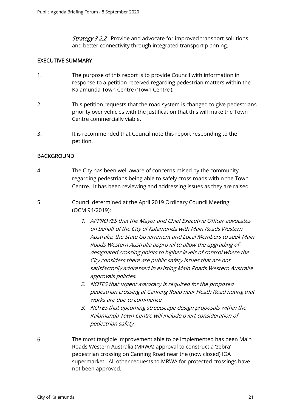**Strategy 3.2.2** - Provide and advocate for improved transport solutions and better connectivity through integrated transport planning.

### EXECUTIVE SUMMARY

- 1. The purpose of this report is to provide Council with information in response to a petition received regarding pedestrian matters within the Kalamunda Town Centre ('Town Centre').
- 2. This petition requests that the road system is changed to give pedestrians priority over vehicles with the justification that this will make the Town Centre commercially viable.
- 3. It is recommended that Council note this report responding to the petition.

### BACKGROUND

- 4. The City has been well aware of concerns raised by the community regarding pedestrians being able to safely cross roads within the Town Centre. It has been reviewing and addressing issues as they are raised.
- 5. Council determined at the April 2019 Ordinary Council Meeting: (OCM 94/2019):
	- 1. APPROVES that the Mayor and Chief Executive Officer advocates on behalf of the City of Kalamunda with Main Roads Western Australia, the State Government and Local Members to seek Main Roads Western Australia approval to allow the upgrading of designated crossing points to higher levels of control where the City considers there are public safety issues that are not satisfactorily addressed in existing Main Roads Western Australia approvals policies.
	- 2. NOTES that urgent advocacy is required for the proposed pedestrian crossing at Canning Road near Heath Road noting that works are due to commence.
	- 3. NOTES that upcoming streetscape design proposals within the Kalamunda Town Centre will include overt consideration of pedestrian safety.
- 6. The most tangible improvement able to be implemented has been Main Roads Western Australia (MRWA) approval to construct a 'zebra' pedestrian crossing on Canning Road near the (now closed) IGA supermarket. All other requests to MRWA for protected crossings have not been approved.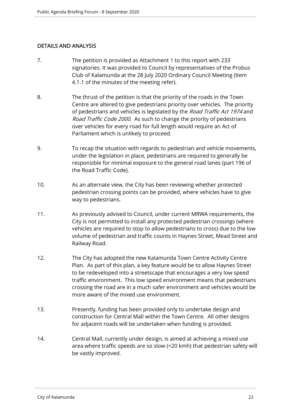# DETAILS AND ANALYSIS

- 7. The petition is provided as Attachment 1 to this report with 233 signatories. It was provided to Council by representatives of the Probus Club of Kalamunda at the 28 July 2020 Ordinary Council Meeting (Item 4.1.1 of the minutes of the meeting refer).
- 8. The thrust of the petition is that the priority of the roads in the Town Centre are altered to give pedestrians priority over vehicles. The priority of pedestrians and vehicles is legislated by the Road Traffic Act 1974 and Road Traffic Code 2000. As such to change the priority of pedestrians over vehicles for every road for full length would require an Act of Parliament which is unlikely to proceed.
- 9. To recap the situation with regards to pedestrian and vehicle movements, under the legislation in place, pedestrians are required to generally be responsible for minimal exposure to the general road lanes (part 196 of the Road Traffic Code).
- 10. As an alternate view, the City has been reviewing whether protected pedestrian crossing points can be provided, where vehicles have to give way to pedestrians.
- 11. As previously advised to Council, under current MRWA requirements, the City is not permitted to install any protected pedestrian crossings (where vehicles are required to stop to allow pedestrians to cross) due to the low volume of pedestrian and traffic counts in Haynes Street, Mead Street and Railway Road.
- 12. The City has adopted the new Kalamunda Town Centre Activity Centre Plan. As part of this plan, a key feature would be to allow Haynes Street to be redeveloped into a streetscape that encourages a very low speed traffic environment. This low speed environment means that pedestrians crossing the road are in a much safer environment and vehicles would be more aware of the mixed use environment.
- 13. Presently, funding has been provided only to undertake design and construction for Central Mall within the Town Centre. All other designs for adjacent roads will be undertaken when funding is provided.
- 14. Central Mall, currently under design, is aimed at achieving a mixed use area where traffic speeds are so slow (<20 kmh) that pedestrian safety will be vastly improved.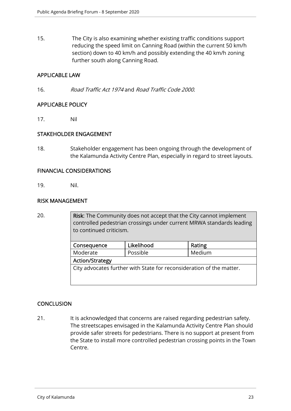15. The City is also examining whether existing traffic conditions support reducing the speed limit on Canning Road (within the current 50 km/h section) down to 40 km/h and possibly extending the 40 km/h zoning further south along Canning Road.

#### APPLICABLE LAW

16. Road Traffic Act 1974 and Road Traffic Code 2000.

#### APPLICABLE POLICY

17. Nil

#### STAKEHOLDER ENGAGEMENT

18. Stakeholder engagement has been ongoing through the development of the Kalamunda Activity Centre Plan, especially in regard to street layouts.

#### FINANCIAL CONSIDERATIONS

19. Nil.

#### RISK MANAGEMENT

20. Risk: The Community does not accept that the City cannot implement controlled pedestrian crossings under current MRWA standards leading to continued criticism. Consequence | Likelihood | Rating Moderate | Possible | Medium Action/Strategy City advocates further with State for reconsideration of the matter.

# **CONCLUSION**

21. It is acknowledged that concerns are raised regarding pedestrian safety. The streetscapes envisaged in the Kalamunda Activity Centre Plan should provide safer streets for pedestrians. There is no support at present from the State to install more controlled pedestrian crossing points in the Town Centre.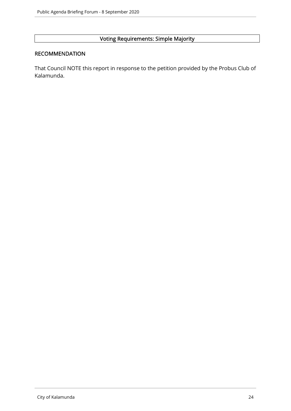# Voting Requirements: Simple Majority

# RECOMMENDATION

That Council NOTE this report in response to the petition provided by the Probus Club of Kalamunda.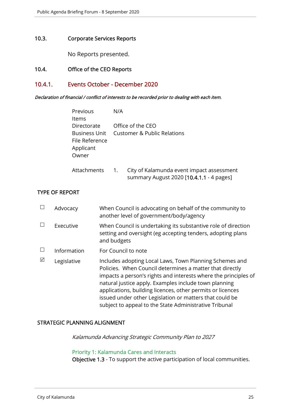#### 10.3. Corporate Services Reports

No Reports presented.

# 10.4. Office of the CEO Reports

#### 10.4.1. Events October - December 2020

Declaration of financial / conflict of interests to be recorded prior to dealing with each item.

| Previous<br>Items                                                           | N/A              |                                                                                       |
|-----------------------------------------------------------------------------|------------------|---------------------------------------------------------------------------------------|
| Directorate<br><b>Business Unit</b><br>File Reference<br>Applicant<br>Owner |                  | Office of the CEO<br><b>Customer &amp; Public Relations</b>                           |
| Attachments                                                                 | $\overline{1}$ . | City of Kalamunda event impact assessment<br>summary August 2020 [10.4.1.1 - 4 pages] |

#### TYPE OF REPORT

|   | Advocacy    | When Council is advocating on behalf of the community to<br>another level of government/body/agency                                                                                                                                                                                                                                                                                                                                |
|---|-------------|------------------------------------------------------------------------------------------------------------------------------------------------------------------------------------------------------------------------------------------------------------------------------------------------------------------------------------------------------------------------------------------------------------------------------------|
|   | Executive   | When Council is undertaking its substantive role of direction<br>setting and oversight (eg accepting tenders, adopting plans<br>and budgets                                                                                                                                                                                                                                                                                        |
|   | Information | For Council to note                                                                                                                                                                                                                                                                                                                                                                                                                |
| ⊠ | Legislative | Includes adopting Local Laws, Town Planning Schemes and<br>Policies. When Council determines a matter that directly<br>impacts a person's rights and interests where the principles of<br>natural justice apply. Examples include town planning<br>applications, building licences, other permits or licences<br>issued under other Legislation or matters that could be<br>subject to appeal to the State Administrative Tribunal |

#### STRATEGIC PLANNING ALIGNMENT

Kalamunda Advancing Strategic Community Plan to 2027

#### Priority 1: Kalamunda Cares and Interacts

Objective 1.3 - To support the active participation of local communities.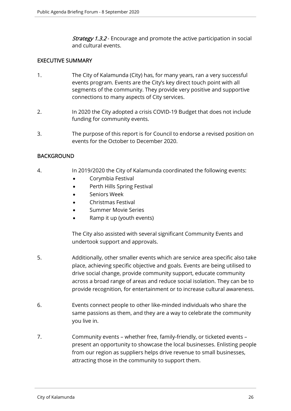**Strategy 1.3.2** - Encourage and promote the active participation in social and cultural events.

#### EXECUTIVE SUMMARY

- 1. The City of Kalamunda (City) has, for many years, ran a very successful events program. Events are the City's key direct touch point with all segments of the community. They provide very positive and supportive connections to many aspects of City services.
- 2. In 2020 the City adopted a crisis COVID-19 Budget that does not include funding for community events.
- 3. The purpose of this report is for Council to endorse a revised position on events for the October to December 2020.

#### BACKGROUND

- 4. In 2019/2020 the City of Kalamunda coordinated the following events:
	- Corymbia Festival
	- Perth Hills Spring Festival
	- Seniors Week
	- Christmas Festival
	- Summer Movie Series
	- Ramp it up (youth events)

The City also assisted with several significant Community Events and undertook support and approvals.

- 5. Additionally, other smaller events which are service area specific also take place, achieving specific objective and goals. Events are being utilised to drive social change, provide community support, educate community across a broad range of areas and reduce social isolation. They can be to provide recognition, for entertainment or to increase cultural awareness.
- 6. Events connect people to other like-minded individuals who share the same passions as them, and they are a way to celebrate the community you live in.
- 7. Community events whether free, family-friendly, or ticketed events present an opportunity to showcase the local businesses. Enlisting people from our region as suppliers helps drive revenue to small businesses, attracting those in the community to support them.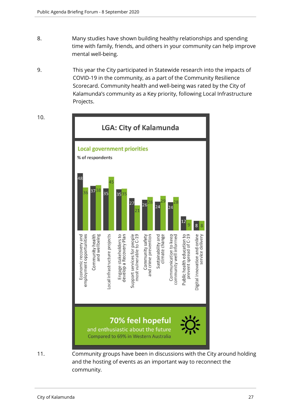- 8. Many studies have shown building healthy relationships and spending time with family, friends, and others in your community can help improve mental well-being.
- 9. This year the City participated in Statewide research into the impacts of COVID-19 in the community, as a part of the Community Resilience Scorecard. Community health and well-being was rated by the City of Kalamunda's community as a Key priority, following Local Infrastructure Projects.

LGA: City of Kalamunda **Local government priorities** % of respondents 48 37 36  $35$  $353$ Community health<br>and wellbeing Engage stakeholders to<br>develop a Recovery Plan Support services for people<br>most vulnerable to C-19 Digital innovation and online<br>service delivery Economic recovery and employment opportunities ocal infrastructure projects and crime prevention Sustainability and climate change Communication to keep community well informed Public health education to prevent spread of C-19 Community safety 70% feel hopeful and enthusiastic about the future **Compared to 69% in Western Australia** 

11. Community groups have been in discussions with the City around holding and the hosting of events as an important way to reconnect the community.

10.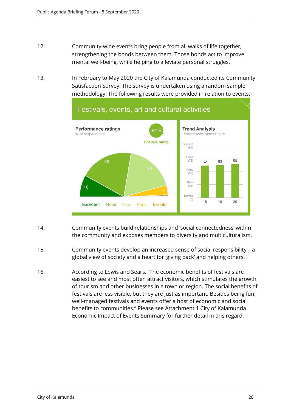- 12. Community-wide events bring people from all walks of life together, strengthening the bonds between them. Those bonds act to improve mental well-being, while helping to alleviate personal struggles.
- 13. In February to May 2020 the City of Kalamunda conducted its Community Satisfaction Survey. The survey is undertaken using a random sample methodology. The following results were provided in relation to events:



- 14. Community events build relationships and 'social connectedness' within the community and exposes members to diversity and multiculturalism.
- 15. Community events develop an increased sense of social responsibility a global view of society and a heart for 'giving back' and helping others.
- 16. According to Lewis and Sears, "The economic benefits of festivals are easiest to see and most often attract visitors, which stimulates the growth of tourism and other businesses in a town or region. The social benefits of festivals are less visible, but they are just as important. Besides being fun, well-managed festivals and events offer a host of economic and social benefits to communities." Please see Attachment 1 City of Kalamunda Economic Impact of Events Summary for further detail in this regard.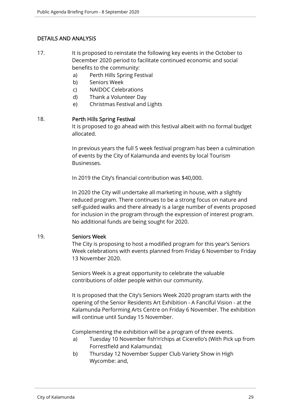# DETAILS AND ANALYSIS

- 17. It is proposed to reinstate the following key events in the October to December 2020 period to facilitate continued economic and social benefits to the community:
	- a) Perth Hills Spring Festival
	- b) Seniors Week
	- c) NAIDOC Celebrations
	- d) Thank a Volunteer Day
	- e) Christmas Festival and Lights

#### 18. Perth Hills Spring Festival

It is proposed to go ahead with this festival albeit with no formal budget allocated.

In previous years the full 5 week festival program has been a culmination of events by the City of Kalamunda and events by local Tourism Businesses.

In 2019 the City's financial contribution was \$40,000.

In 2020 the City will undertake all marketing in house, with a slightly reduced program. There continues to be a strong focus on nature and self-guided walks and there already is a large number of events proposed for inclusion in the program through the expression of interest program. No additional funds are being sought for 2020.

#### 19. Seniors Week

The City is proposing to host a modified program for this year's Seniors Week celebrations with events planned from Friday 6 November to Friday 13 November 2020.

Seniors Week is a great opportunity to celebrate the valuable contributions of older people within our community.

It is proposed that the City's Seniors Week 2020 program starts with the opening of the Senior Residents Art Exhibition - A Fanciful Vision - at the Kalamunda Performing Arts Centre on Friday 6 November. The exhibition will continue until Sunday 15 November.

Complementing the exhibition will be a program of three events.

- a) Tuesday 10 November fish'n'chips at Cicerello's (With Pick up from Forrestfield and Kalamunda);
- b) Thursday 12 November Supper Club Variety Show in High Wycombe: and,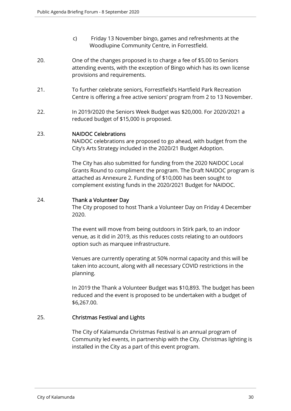- c) Friday 13 November bingo, games and refreshments at the Woodlupine Community Centre, in Forrestfield.
- 20. One of the changes proposed is to charge a fee of \$5.00 to Seniors attending events, with the exception of Bingo which has its own license provisions and requirements.
- 21. To further celebrate seniors, Forrestfield's Hartfield Park Recreation Centre is offering a free active seniors' program from 2 to 13 November.
- 22. In 2019/2020 the Seniors Week Budget was \$20,000. For 2020/2021 a reduced budget of \$15,000 is proposed.

#### 23. NAIDOC Celebrations

NAIDOC celebrations are proposed to go ahead, with budget from the City's Arts Strategy included in the 2020/21 Budget Adoption.

The City has also submitted for funding from the 2020 NAIDOC Local Grants Round to compliment the program. The Draft NAIDOC program is attached as Annexure 2. Funding of \$10,000 has been sought to complement existing funds in the 2020/2021 Budget for NAIDOC.

#### 24. Thank a Volunteer Day

The City proposed to host Thank a Volunteer Day on Friday 4 December 2020.

The event will move from being outdoors in Stirk park, to an indoor venue, as it did in 2019, as this reduces costs relating to an outdoors option such as marquee infrastructure.

Venues are currently operating at 50% normal capacity and this will be taken into account, along with all necessary COVID restrictions in the planning.

In 2019 the Thank a Volunteer Budget was \$10,893. The budget has been reduced and the event is proposed to be undertaken with a budget of \$6,267.00.

#### 25. Christmas Festival and Lights

The City of Kalamunda Christmas Festival is an annual program of Community led events, in partnership with the City. Christmas lighting is installed in the City as a part of this event program.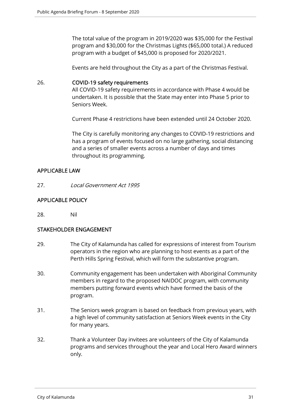The total value of the program in 2019/2020 was \$35,000 for the Festival program and \$30,000 for the Christmas Lights (\$65,000 total.) A reduced program with a budget of \$45,000 is proposed for 2020/2021.

Events are held throughout the City as a part of the Christmas Festival.

#### 26. COVID-19 safety requirements

All COVID-19 safety requirements in accordance with Phase 4 would be undertaken. It is possible that the State may enter into Phase 5 prior to Seniors Week.

Current Phase 4 restrictions have been extended until 24 October 2020.

The City is carefully monitoring any changes to COVID-19 restrictions and has a program of events focused on no large gathering, social distancing and a series of smaller events across a number of days and times throughout its programming.

#### APPLICABLE LAW

27. Local Government Act 1995

### APPLICABLE POLICY

28. Nil

#### STAKEHOLDER ENGAGEMENT

- 29. The City of Kalamunda has called for expressions of interest from Tourism operators in the region who are planning to host events as a part of the Perth Hills Spring Festival, which will form the substantive program.
- 30. Community engagement has been undertaken with Aboriginal Community members in regard to the proposed NAIDOC program, with community members putting forward events which have formed the basis of the program.
- 31. The Seniors week program is based on feedback from previous years, with a high level of community satisfaction at Seniors Week events in the City for many years.
- 32. Thank a Volunteer Day invitees are volunteers of the City of Kalamunda programs and services throughout the year and Local Hero Award winners only.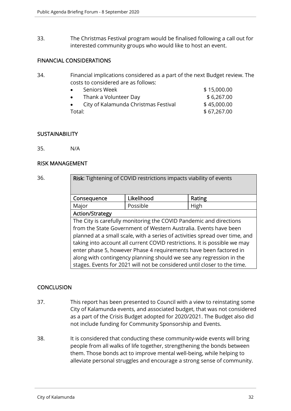33. The Christmas Festival program would be finalised following a call out for interested community groups who would like to host an event.

#### FINANCIAL CONSIDERATIONS

34. Financial implications considered as a part of the next Budget review. The costs to considered are as follows:

| $\bullet$ | Seniors Week                         | \$15,000.00 |
|-----------|--------------------------------------|-------------|
|           | Thank a Volunteer Day                | \$6,267.00  |
|           | City of Kalamunda Christmas Festival | \$45,000.00 |
| Total:    |                                      | \$67,267.00 |

#### **SUSTAINABILITY**

35. N/A

#### RISK MANAGEMENT

| 36. | Risk: Tightening of COVID restrictions impacts viability of events                                                                              |            |        |  |
|-----|-------------------------------------------------------------------------------------------------------------------------------------------------|------------|--------|--|
|     | Consequence                                                                                                                                     | Likelihood | Rating |  |
|     | Major                                                                                                                                           | Possible   | High   |  |
|     | <b>Action/Strategy</b>                                                                                                                          |            |        |  |
|     | The City is carefully monitoring the COVID Pandemic and directions                                                                              |            |        |  |
|     | from the State Government of Western Australia. Events have been                                                                                |            |        |  |
|     | planned at a small scale, with a series of activities spread over time, and                                                                     |            |        |  |
|     | taking into account all current COVID restrictions. It is possible we may                                                                       |            |        |  |
|     | enter phase 5, however Phase 4 requirements have been factored in                                                                               |            |        |  |
|     | along with contingency planning should we see any regression in the<br>stages. Events for 2021 will not be considered until closer to the time. |            |        |  |

#### **CONCLUSION**

- 37. This report has been presented to Council with a view to reinstating some City of Kalamunda events, and associated budget, that was not considered as a part of the Crisis Budget adopted for 2020/2021. The Budget also did not include funding for Community Sponsorship and Events.
- 38. It is considered that conducting these community-wide events will bring people from all walks of life together, strengthening the bonds between them. Those bonds act to improve mental well-being, while helping to alleviate personal struggles and encourage a strong sense of community.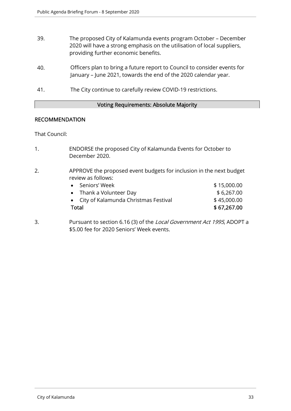- 39. The proposed City of Kalamunda events program October December 2020 will have a strong emphasis on the utilisation of local suppliers, providing further economic benefits.
- 40. Officers plan to bring a future report to Council to consider events for January – June 2021, towards the end of the 2020 calendar year.
- 41. The City continue to carefully review COVID-19 restrictions.

#### Voting Requirements: Absolute Majority

#### RECOMMENDATION

That Council:

- 1. ENDORSE the proposed City of Kalamunda Events for October to December 2020.
- 2. APPROVE the proposed event budgets for inclusion in the next budget review as follows:

| Total |                                        | \$67,267.00 |
|-------|----------------------------------------|-------------|
|       | • City of Kalamunda Christmas Festival | \$45,000.00 |
|       | • Thank a Volunteer Day                | \$6,267.00  |
|       | • Seniors' Week                        | \$15,000.00 |

3. Pursuant to section 6.16 (3) of the Local Government Act 1995, ADOPT a \$5.00 fee for 2020 Seniors' Week events.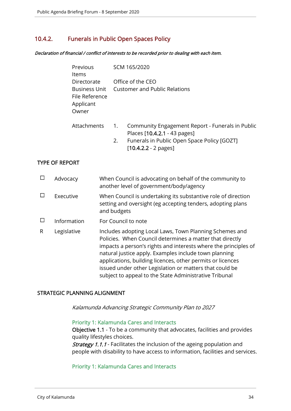# 10.4.2. Funerals in Public Open Spaces Policy

Declaration of financial / conflict of interests to be recorded prior to dealing with each item.

| Previous<br>Items                                                    |                        | SCM 165/2020                                                                                                                                              |
|----------------------------------------------------------------------|------------------------|-----------------------------------------------------------------------------------------------------------------------------------------------------------|
| Directorate<br>Business Unit<br>File Reference<br>Applicant<br>Owner |                        | Office of the CEO<br>Customer and Public Relations                                                                                                        |
| <b>Attachments</b>                                                   | $\overline{1}$ .<br>2. | Community Engagement Report - Funerals in Public<br>Places [10.4.2.1 - 43 pages]<br>Funerals in Public Open Space Policy [GOZT]<br>$[10.4.2.2 - 2$ pages] |

#### TYPE OF REPORT

|   | Advocacy    | When Council is advocating on behalf of the community to<br>another level of government/body/agency                                                                                                                                                                                                                                                                                                                                |
|---|-------------|------------------------------------------------------------------------------------------------------------------------------------------------------------------------------------------------------------------------------------------------------------------------------------------------------------------------------------------------------------------------------------------------------------------------------------|
|   | Executive   | When Council is undertaking its substantive role of direction<br>setting and oversight (eg accepting tenders, adopting plans<br>and budgets                                                                                                                                                                                                                                                                                        |
|   | Information | For Council to note                                                                                                                                                                                                                                                                                                                                                                                                                |
| R | Legislative | Includes adopting Local Laws, Town Planning Schemes and<br>Policies. When Council determines a matter that directly<br>impacts a person's rights and interests where the principles of<br>natural justice apply. Examples include town planning<br>applications, building licences, other permits or licences<br>issued under other Legislation or matters that could be<br>subject to appeal to the State Administrative Tribunal |

#### STRATEGIC PLANNING ALIGNMENT

Kalamunda Advancing Strategic Community Plan to 2027

#### Priority 1: Kalamunda Cares and Interacts

Objective 1.1 - To be a community that advocates, facilities and provides quality lifestyles choices.

**Strategy 1.1.1** - Facilitates the inclusion of the ageing population and people with disability to have access to information, facilities and services.

#### Priority 1: Kalamunda Cares and Interacts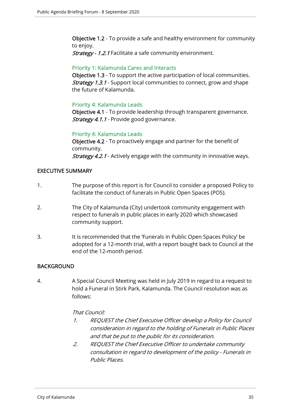Objective 1.2 - To provide a safe and healthy environment for community to enjoy.

Strategy - 1.2.1 Facilitate a safe community environment.

#### Priority 1: Kalamunda Cares and Interacts

Objective 1.3 - To support the active participation of local communities. **Strategy 1.3.1** - Support local communities to connect, grow and shape the future of Kalamunda.

# Priority 4: Kalamunda Leads

Objective 4.1 - To provide leadership through transparent governance. Strategy 4.1.1 - Provide good governance.

### Priority 4: Kalamunda Leads

Objective 4.2 - To proactively engage and partner for the benefit of community. **Strategy 4.2.1** - Actively engage with the community in innovative ways.

# EXECUTIVE SUMMARY

- 1. The purpose of this report is for Council to consider a proposed Policy to facilitate the conduct of funerals in Public Open Spaces (POS).
- 2. The City of Kalamunda (City) undertook community engagement with respect to funerals in public places in early 2020 which showcased community support.
- 3. It is recommended that the 'Funerals in Public Open Spaces Policy' be adopted for a 12-month trial, with a report bought back to Council at the end of the 12-month period.

# **BACKGROUND**

4. A Special Council Meeting was held in July 2019 in regard to a request to hold a Funeral in Stirk Park, Kalamunda. The Council resolution was as follows:

#### That Council:

- 1. REQUEST the Chief Executive Officer develop a Policy for Council consideration in regard to the holding of Funerals in Public Places and that be put to the public for its consideration.
- 2. REQUEST the Chief Executive Officer to undertake community consultation in regard to development of the policy - Funerals in Public Places.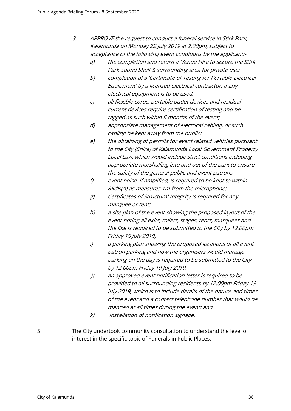| З. | APPROVE the request to conduct a funeral service in Stirk Park, |
|----|-----------------------------------------------------------------|
|    | Kalamunda on Monday 22 July 2019 at 2.00pm, subject to          |
|    | acceptance of the following event conditions by the applicant:- |

- a) the completion and return a 'Venue Hire to secure the Stirk Park Sound Shell & surrounding area for private use;
- b) completion of a 'Certificate of Testing for Portable Electrical Equipment' by a licensed electrical contractor, if any electrical equipment is to be used;
- c) all flexible cords, portable outlet devices and residual current devices require certification of testing and be tagged as such within 6 months of the event;
- d) appropriate management of electrical cabling, or such cabling be kept away from the public;
- e) the obtaining of permits for event related vehicles pursuant to the City (Shire) of Kalamunda Local Government Property Local Law, which would include strict conditions including appropriate marshalling into and out of the park to ensure the safety of the general public and event patrons;
- f) event noise, if amplified, is required to be kept to within 85dB(A) as measures 1m from the microphone;
- g) Certificates of Structural Integrity is required for any marquee or tent;
- h) a site plan of the event showing the proposed layout of the event noting all exits, toilets, stages, tents, marquees and the like is required to be submitted to the City by 12.00pm Friday 19 July 2019;
- i) a parking plan showing the proposed locations of all event patron parking and how the organisers would manage parking on the day is required to be submitted to the City by 12.00pm Friday 19 July 2019;
- j) an approved event notification letter is required to be provided to all surrounding residents by 12.00pm Friday 19 July 2019, which is to include details of the nature and times of the event and a contact telephone number that would be manned at all times during the event; and
- k) Installation of notification signage.
- 5. The City undertook community consultation to understand the level of interest in the specific topic of Funerals in Public Places.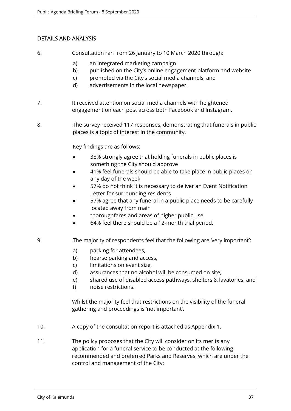# DETAILS AND ANALYSIS

- 6. Consultation ran from 26 January to 10 March 2020 through:
	- a) an integrated marketing campaign
	- b) published on the City's online engagement platform and website
	- c) promoted via the City's social media channels, and
	- d) advertisements in the local newspaper.
- 7. It received attention on social media channels with heightened engagement on each post across both Facebook and Instagram.
- 8. The survey received 117 responses, demonstrating that funerals in public places is a topic of interest in the community.

Key findings are as follows:

- 38% strongly agree that holding funerals in public places is something the City should approve
- 41% feel funerals should be able to take place in public places on any day of the week
- 57% do not think it is necessary to deliver an Event Notification Letter for surrounding residents
- 57% agree that any funeral in a public place needs to be carefully located away from main
- thoroughfares and areas of higher public use
- 64% feel there should be a 12-month trial period.
- 9. The majority of respondents feel that the following are 'very important';
	- a) parking for attendees,
	- b) hearse parking and access,
	- c) limitations on event size,
	- d) assurances that no alcohol will be consumed on site,
	- e) shared use of disabled access pathways, shelters & lavatories, and
	- f) noise restrictions.

Whilst the majority feel that restrictions on the visibility of the funeral gathering and proceedings is 'not important'.

- 10. A copy of the consultation report is attached as Appendix 1.
- 11. The policy proposes that the City will consider on its merits any application for a funeral service to be conducted at the following recommended and preferred Parks and Reserves, which are under the control and management of the City: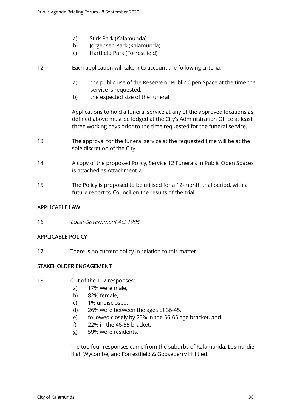- a) Stirk Park (Kalamunda)
- b) Jorgensen Park (Kalamunda)
- c) Hartfield Park (Forrestfield)
- 12. Each application will take into account the following criteria:
	- a) the public use of the Reserve or Public Open Space at the time the service is requested;
	- b) the expected size of the funeral

Applications to hold a funeral service at any of the approved locations as defined above must be lodged at the City's Administration Office at least three working days prior to the time requested for the funeral service.

- 13. The approval for the funeral service at the requested time will be at the sole discretion of the City.
- 14. A copy of the proposed Policy, Service 12 Funerals in Public Open Spaces is attached as Attachment 2.
- 15. The Policy is proposed to be utilised for a 12-month trial period, with a future report to Council on the results of the trial.

#### APPLICABLE LAW

16. Local Government Act 1995

#### APPLICABLE POLICY

17. There is no current policy in relation to this matter.

#### STAKEHOLDER ENGAGEMENT

- 18. Out of the 117 responses:
	- a) 17% were male,
	- b) 82% female,
	- c) 1% undisclosed.
	- d) 26% were between the ages of 36-45,
	- e) followed closely by 25% in the 56-65 age bracket, and
	- f) 22% in the 46-55 bracket.
	- g) 59% were residents.

The top four responses came from the suburbs of Kalamunda, Lesmurdie, High Wycombe, and Forrestfield & Gooseberry Hill tied.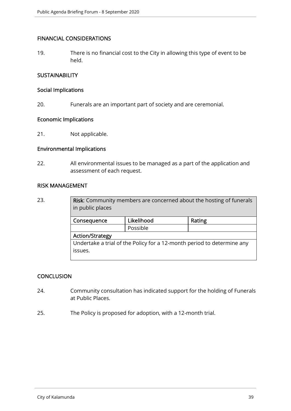#### FINANCIAL CONSIDERATIONS

19. There is no financial cost to the City in allowing this type of event to be held.

### **SUSTAINABILITY**

#### Social Implications

20. Funerals are an important part of society and are ceremonial.

#### Economic Implications

21. Not applicable.

#### Environmental Implications

22. All environmental issues to be managed as a part of the application and assessment of each request.

#### RISK MANAGEMENT

23. **Risk:** Community members are concerned about the hosting of funerals in public places

| Consequence                                                            | Likelihood | Rating |
|------------------------------------------------------------------------|------------|--------|
|                                                                        | Possible   |        |
| <b>Action/Strategy</b>                                                 |            |        |
| Undertake a trial of the Policy for a 12-month period to determine any |            |        |
| issues.                                                                |            |        |
|                                                                        |            |        |

# **CONCLUSION**

- 24. Community consultation has indicated support for the holding of Funerals at Public Places.
- 25. The Policy is proposed for adoption, with a 12-month trial.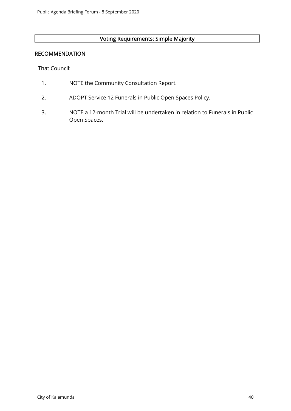# Voting Requirements: Simple Majority

#### RECOMMENDATION

That Council:

- 1. NOTE the Community Consultation Report.
- 2. ADOPT Service 12 Funerals in Public Open Spaces Policy.
- 3. NOTE a 12-month Trial will be undertaken in relation to Funerals in Public Open Spaces.